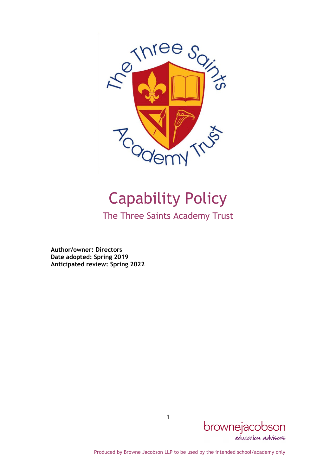

# Capability Policy

The Three Saints Academy Trust

Author/owner: Directors Date adopted: Spring 2019 Anticipated review: Spring 2022



Produced by Browne Jacobson LLP to be used by the intended school/academy only

1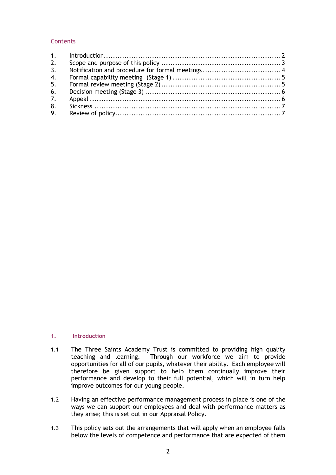# **Contents**

| 2. |  |
|----|--|
| 3. |  |
| 4. |  |
| 5. |  |
| 6. |  |
| 7. |  |
| 8. |  |
| 9. |  |

#### 1. Introduction

- 1.1 The Three Saints Academy Trust is committed to providing high quality<br>teaching and learning. Through our workforce we aim to provide Through our workforce we aim to provide opportunities for all of our pupils, whatever their ability. Each employee will therefore be given support to help them continually improve their performance and develop to their full potential, which will in turn help improve outcomes for our young people.
- 1.2 Having an effective performance management process in place is one of the ways we can support our employees and deal with performance matters as they arise; this is set out in our Appraisal Policy.
- 1.3 This policy sets out the arrangements that will apply when an employee falls below the levels of competence and performance that are expected of them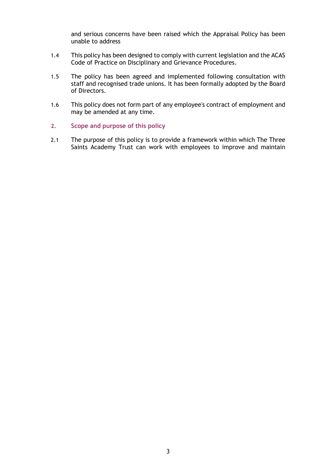and serious concerns have been raised which the Appraisal Policy has been unable to address

- 1.4 This policy has been designed to comply with current legislation and the ACAS Code of Practice on Disciplinary and Grievance Procedures.
- 1.5 The policy has been agreed and implemented following consultation with staff and recognised trade unions. It has been formally adopted by the Board of Directors.
- 1.6 This policy does not form part of any employee's contract of employment and may be amended at any time.
- 2. Scope and purpose of this policy
- 2.1 The purpose of this policy is to provide a framework within which The Three Saints Academy Trust can work with employees to improve and maintain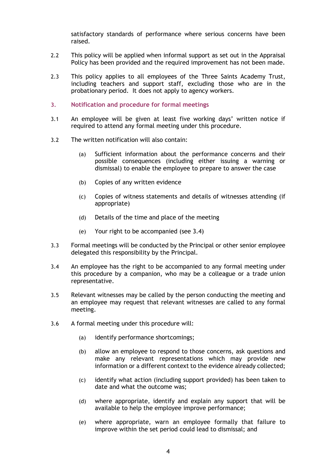satisfactory standards of performance where serious concerns have been raised.

- 2.2 This policy will be applied when informal support as set out in the Appraisal Policy has been provided and the required improvement has not been made.
- 2.3 This policy applies to all employees of the Three Saints Academy Trust, including teachers and support staff, excluding those who are in the probationary period. It does not apply to agency workers.
- 3. Notification and procedure for formal meetings
- 3.1 An employee will be given at least five working days' written notice if required to attend any formal meeting under this procedure.
- 3.2 The written notification will also contain:
	- (a) Sufficient information about the performance concerns and their possible consequences (including either issuing a warning or dismissal) to enable the employee to prepare to answer the case
	- (b) Copies of any written evidence
	- (c) Copies of witness statements and details of witnesses attending (if appropriate)
	- (d) Details of the time and place of the meeting
	- (e) Your right to be accompanied (see 3.4)
- 3.3 Formal meetings will be conducted by the Principal or other senior employee delegated this responsibility by the Principal.
- 3.4 An employee has the right to be accompanied to any formal meeting under this procedure by a companion, who may be a colleague or a trade union representative.
- 3.5 Relevant witnesses may be called by the person conducting the meeting and an employee may request that relevant witnesses are called to any formal meeting.
- 3.6 A formal meeting under this procedure will:
	- (a) identify performance shortcomings;
	- (b) allow an employee to respond to those concerns, ask questions and make any relevant representations which may provide new information or a different context to the evidence already collected;
	- (c) identify what action (including support provided) has been taken to date and what the outcome was;
	- (d) where appropriate, identify and explain any support that will be available to help the employee improve performance;
	- (e) where appropriate, warn an employee formally that failure to improve within the set period could lead to dismissal; and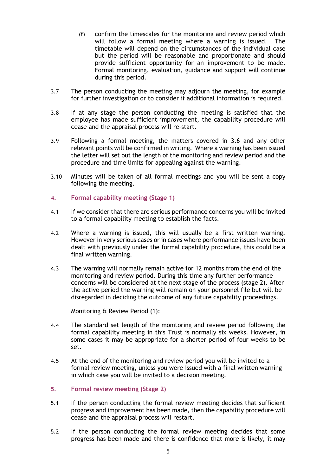- (f) confirm the timescales for the monitoring and review period which will follow a formal meeting where a warning is issued. The timetable will depend on the circumstances of the individual case but the period will be reasonable and proportionate and should provide sufficient opportunity for an improvement to be made. Formal monitoring, evaluation, guidance and support will continue during this period.
- 3.7 The person conducting the meeting may adjourn the meeting, for example for further investigation or to consider if additional information is required.
- 3.8 If at any stage the person conducting the meeting is satisfied that the employee has made sufficient improvement, the capability procedure will cease and the appraisal process will re-start.
- 3.9 Following a formal meeting, the matters covered in 3.6 and any other relevant points will be confirmed in writing. Where a warning has been issued the letter will set out the length of the monitoring and review period and the procedure and time limits for appealing against the warning.
- 3.10 Minutes will be taken of all formal meetings and you will be sent a copy following the meeting.
- 4. Formal capability meeting (Stage 1)
- 4.1 If we consider that there are serious performance concerns you will be invited to a formal capability meeting to establish the facts.
- 4.2 Where a warning is issued, this will usually be a first written warning. However in very serious cases or in cases where performance issues have been dealt with previously under the formal capability procedure, this could be a final written warning.
- 4.3 The warning will normally remain active for 12 months from the end of the monitoring and review period. During this time any further performance concerns will be considered at the next stage of the process (stage 2). After the active period the warning will remain on your personnel file but will be disregarded in deciding the outcome of any future capability proceedings.

Monitoring & Review Period (1):

- 4.4 The standard set length of the monitoring and review period following the formal capability meeting in this Trust is normally six weeks. However, in some cases it may be appropriate for a shorter period of four weeks to be set.
- 4.5 At the end of the monitoring and review period you will be invited to a formal review meeting, unless you were issued with a final written warning in which case you will be invited to a decision meeting.
- 5. Formal review meeting (Stage 2)
- 5.1 If the person conducting the formal review meeting decides that sufficient progress and improvement has been made, then the capability procedure will cease and the appraisal process will restart.
- 5.2 If the person conducting the formal review meeting decides that some progress has been made and there is confidence that more is likely, it may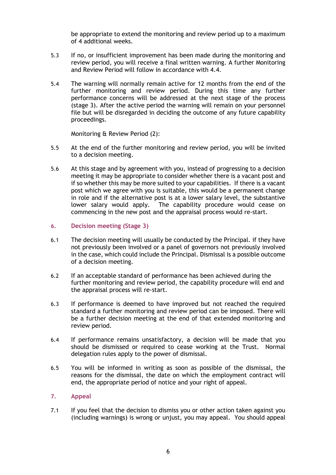be appropriate to extend the monitoring and review period up to a maximum of 4 additional weeks.

- 5.3 If no, or insufficient improvement has been made during the monitoring and review period, you will receive a final written warning. A further Monitoring and Review Period will follow in accordance with 4.4.
- 5.4 The warning will normally remain active for 12 months from the end of the further monitoring and review period. During this time any further performance concerns will be addressed at the next stage of the process (stage 3). After the active period the warning will remain on your personnel file but will be disregarded in deciding the outcome of any future capability proceedings.

Monitoring & Review Period (2):

- 5.5 At the end of the further monitoring and review period, you will be invited to a decision meeting.
- 5.6 At this stage and by agreement with you, instead of progressing to a decision meeting it may be appropriate to consider whether there is a vacant post and if so whether this may be more suited to your capabilities. If there is a vacant post which we agree with you is suitable, this would be a permanent change in role and if the alternative post is at a lower salary level, the substantive lower salary would apply. The capability procedure would cease on commencing in the new post and the appraisal process would re-start.
- 6. Decision meeting (Stage 3)
- 6.1 The decision meeting will usually be conducted by the Principal. if they have not previously been involved or a panel of governors not previously involved in the case, which could include the Principal. Dismissal is a possible outcome of a decision meeting.
- 6.2 If an acceptable standard of performance has been achieved during the further monitoring and review period, the capability procedure will end and the appraisal process will re-start.
- 6.3 If performance is deemed to have improved but not reached the required standard a further monitoring and review period can be imposed. There will be a further decision meeting at the end of that extended monitoring and review period.
- 6.4 If performance remains unsatisfactory, a decision will be made that you should be dismissed or required to cease working at the Trust. Normal delegation rules apply to the power of dismissal.
- 6.5 You will be informed in writing as soon as possible of the dismissal, the reasons for the dismissal, the date on which the employment contract will end, the appropriate period of notice and your right of appeal.

## 7. Appeal

7.1 If you feel that the decision to dismiss you or other action taken against you (including warnings) is wrong or unjust, you may appeal. You should appeal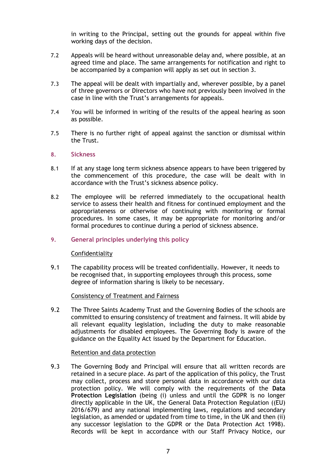in writing to the Principal, setting out the grounds for appeal within five working days of the decision.

- 7.2 Appeals will be heard without unreasonable delay and, where possible, at an agreed time and place. The same arrangements for notification and right to be accompanied by a companion will apply as set out in section 3.
- 7.3 The appeal will be dealt with impartially and, wherever possible, by a panel of three governors or Directors who have not previously been involved in the case in line with the Trust's arrangements for appeals.
- 7.4 You will be informed in writing of the results of the appeal hearing as soon as possible.
- 7.5 There is no further right of appeal against the sanction or dismissal within the Trust.

## 8. Sickness

- 8.1 If at any stage long term sickness absence appears to have been triggered by the commencement of this procedure, the case will be dealt with in accordance with the Trust's sickness absence policy.
- 8.2 The employee will be referred immediately to the occupational health service to assess their health and fitness for continued employment and the appropriateness or otherwise of continuing with monitoring or formal procedures. In some cases, it may be appropriate for monitoring and/or formal procedures to continue during a period of sickness absence.

## 9. General principles underlying this policy

#### Confidentiality

9.1 The capability process will be treated confidentially. However, it needs to be recognised that, in supporting employees through this process, some degree of information sharing is likely to be necessary.

## Consistency of Treatment and Fairness

9.2 The Three Saints Academy Trust and the Governing Bodies of the schools are committed to ensuring consistency of treatment and fairness. It will abide by all relevant equality legislation, including the duty to make reasonable adjustments for disabled employees. The Governing Body is aware of the guidance on the Equality Act issued by the Department for Education.

#### Retention and data protection

9.3 The Governing Body and Principal will ensure that all written records are retained in a secure place. As part of the application of this policy, the Trust may collect, process and store personal data in accordance with our data protection policy. We will comply with the requirements of the Data Protection Legislation (being (i) unless and until the GDPR is no longer directly applicable in the UK, the General Data Protection Regulation ((EU) 2016/679) and any national implementing laws, regulations and secondary legislation, as amended or updated from time to time, in the UK and then (ii) any successor legislation to the GDPR or the Data Protection Act 1998). Records will be kept in accordance with our Staff Privacy Notice, our